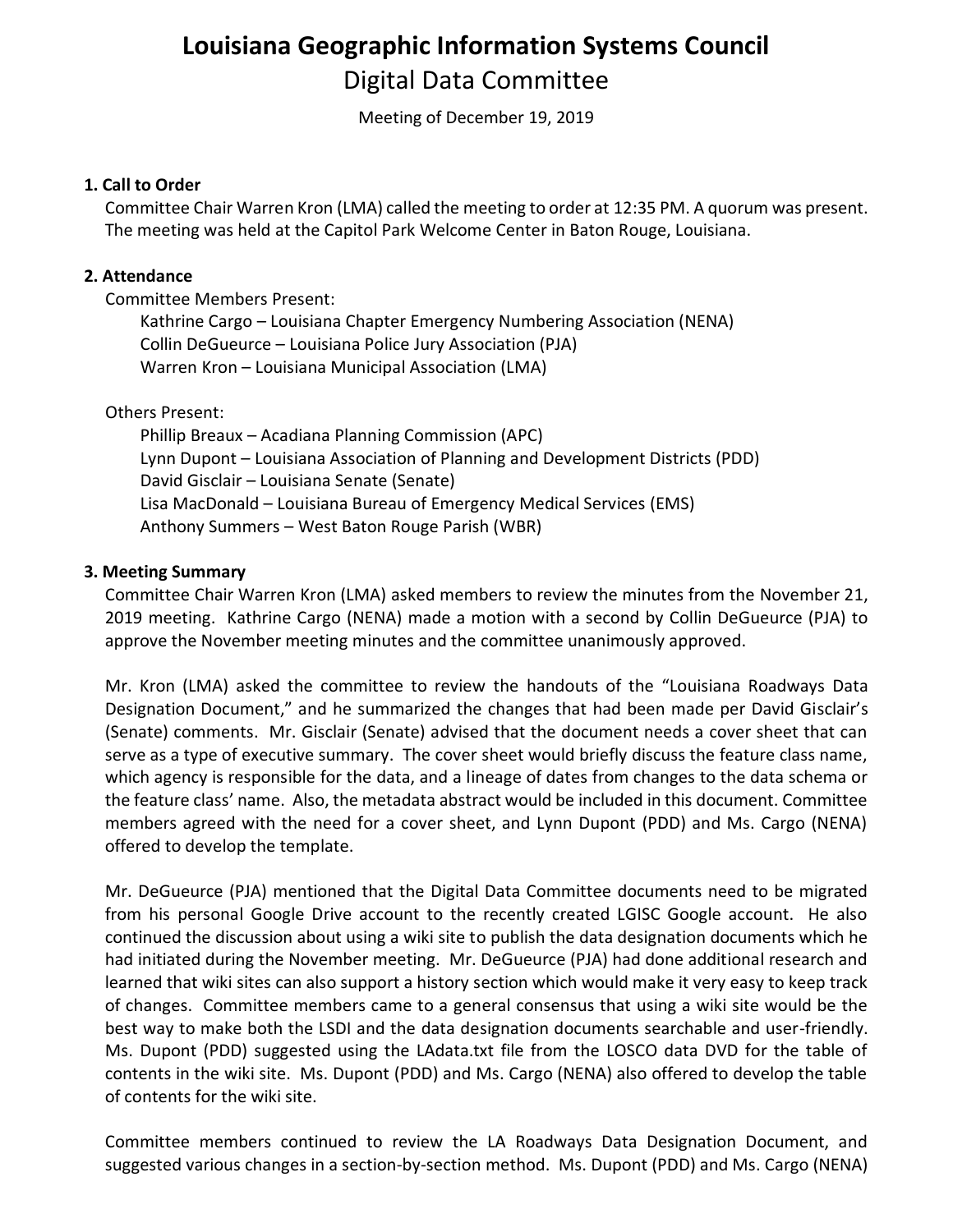# **Louisiana Geographic Information Systems Council** Digital Data Committee

Meeting of December 19, 2019

### **1. Call to Order**

Committee Chair Warren Kron (LMA) called the meeting to order at 12:35 PM. A quorum was present. The meeting was held at the Capitol Park Welcome Center in Baton Rouge, Louisiana.

#### **2. Attendance**

Committee Members Present:

Kathrine Cargo – Louisiana Chapter Emergency Numbering Association (NENA) Collin DeGueurce – Louisiana Police Jury Association (PJA) Warren Kron – Louisiana Municipal Association (LMA)

#### Others Present:

Phillip Breaux – Acadiana Planning Commission (APC) Lynn Dupont – Louisiana Association of Planning and Development Districts (PDD) David Gisclair – Louisiana Senate (Senate) Lisa MacDonald – Louisiana Bureau of Emergency Medical Services (EMS) Anthony Summers – West Baton Rouge Parish (WBR)

#### **3. Meeting Summary**

Committee Chair Warren Kron (LMA) asked members to review the minutes from the November 21, 2019 meeting. Kathrine Cargo (NENA) made a motion with a second by Collin DeGueurce (PJA) to approve the November meeting minutes and the committee unanimously approved.

Mr. Kron (LMA) asked the committee to review the handouts of the "Louisiana Roadways Data Designation Document," and he summarized the changes that had been made per David Gisclair's (Senate) comments. Mr. Gisclair (Senate) advised that the document needs a cover sheet that can serve as a type of executive summary. The cover sheet would briefly discuss the feature class name, which agency is responsible for the data, and a lineage of dates from changes to the data schema or the feature class' name. Also, the metadata abstract would be included in this document. Committee members agreed with the need for a cover sheet, and Lynn Dupont (PDD) and Ms. Cargo (NENA) offered to develop the template.

Mr. DeGueurce (PJA) mentioned that the Digital Data Committee documents need to be migrated from his personal Google Drive account to the recently created LGISC Google account. He also continued the discussion about using a wiki site to publish the data designation documents which he had initiated during the November meeting. Mr. DeGueurce (PJA) had done additional research and learned that wiki sites can also support a history section which would make it very easy to keep track of changes. Committee members came to a general consensus that using a wiki site would be the best way to make both the LSDI and the data designation documents searchable and user-friendly. Ms. Dupont (PDD) suggested using the LAdata.txt file from the LOSCO data DVD for the table of contents in the wiki site. Ms. Dupont (PDD) and Ms. Cargo (NENA) also offered to develop the table of contents for the wiki site.

Committee members continued to review the LA Roadways Data Designation Document, and suggested various changes in a section-by-section method. Ms. Dupont (PDD) and Ms. Cargo (NENA)